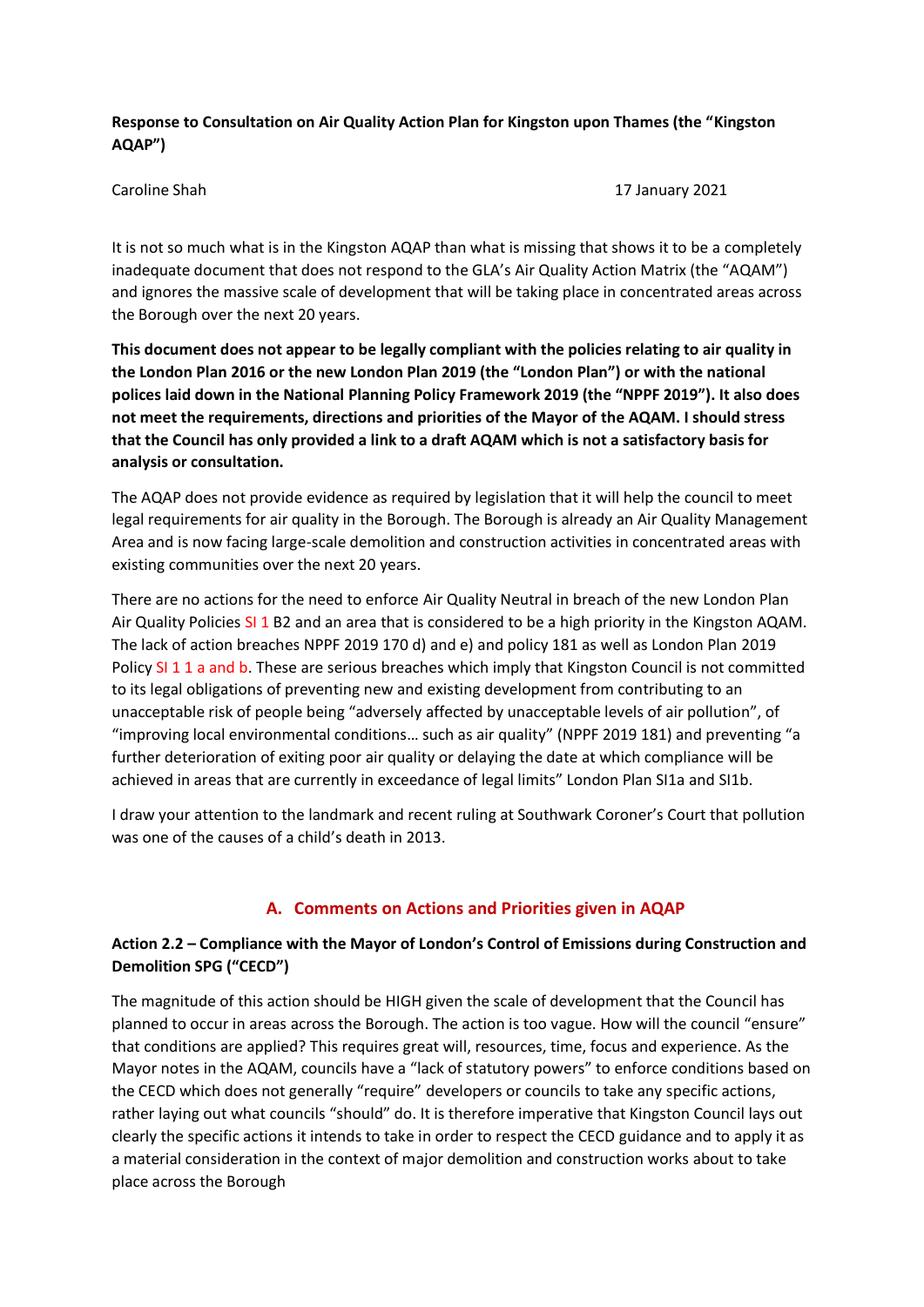# **Response to Consultation on Air Quality Action Plan for Kingston upon Thames (the "Kingston AQAP")**

Caroline Shah 17 January 2021

It is not so much what is in the Kingston AQAP than what is missing that shows it to be a completely inadequate document that does not respond to the GLA's Air Quality Action Matrix (the "AQAM") and ignores the massive scale of development that will be taking place in concentrated areas across the Borough over the next 20 years.

**This document does not appear to be legally compliant with the policies relating to air quality in the London Plan 2016 or the new London Plan 2019 (the "London Plan") or with the national polices laid down in the National Planning Policy Framework 2019 (the "NPPF 2019"). It also does not meet the requirements, directions and priorities of the Mayor of the AQAM. I should stress that the Council has only provided a link to a draft AQAM which is not a satisfactory basis for analysis or consultation.**

The AQAP does not provide evidence as required by legislation that it will help the council to meet legal requirements for air quality in the Borough. The Borough is already an Air Quality Management Area and is now facing large-scale demolition and construction activities in concentrated areas with existing communities over the next 20 years.

There are no actions for the need to enforce Air Quality Neutral in breach of the new London Plan Air Quality Policies SI 1 B2 and an area that is considered to be a high priority in the Kingston AQAM. The lack of action breaches NPPF 2019 170 d) and e) and policy 181 as well as London Plan 2019 Policy SI 1 1 a and b. These are serious breaches which imply that Kingston Council is not committed to its legal obligations of preventing new and existing development from contributing to an unacceptable risk of people being "adversely affected by unacceptable levels of air pollution", of "improving local environmental conditions… such as air quality" (NPPF 2019 181) and preventing "a further deterioration of exiting poor air quality or delaying the date at which compliance will be achieved in areas that are currently in exceedance of legal limits" London Plan SI1a and SI1b.

I draw your attention to the landmark and recent ruling at Southwark Coroner's Court that pollution was one of the causes of a child's death in 2013.

# **A. Comments on Actions and Priorities given in AQAP**

# **Action 2.2 – Compliance with the Mayor of London's Control of Emissions during Construction and Demolition SPG ("CECD")**

The magnitude of this action should be HIGH given the scale of development that the Council has planned to occur in areas across the Borough. The action is too vague. How will the council "ensure" that conditions are applied? This requires great will, resources, time, focus and experience. As the Mayor notes in the AQAM, councils have a "lack of statutory powers" to enforce conditions based on the CECD which does not generally "require" developers or councils to take any specific actions, rather laying out what councils "should" do. It is therefore imperative that Kingston Council lays out clearly the specific actions it intends to take in order to respect the CECD guidance and to apply it as a material consideration in the context of major demolition and construction works about to take place across the Borough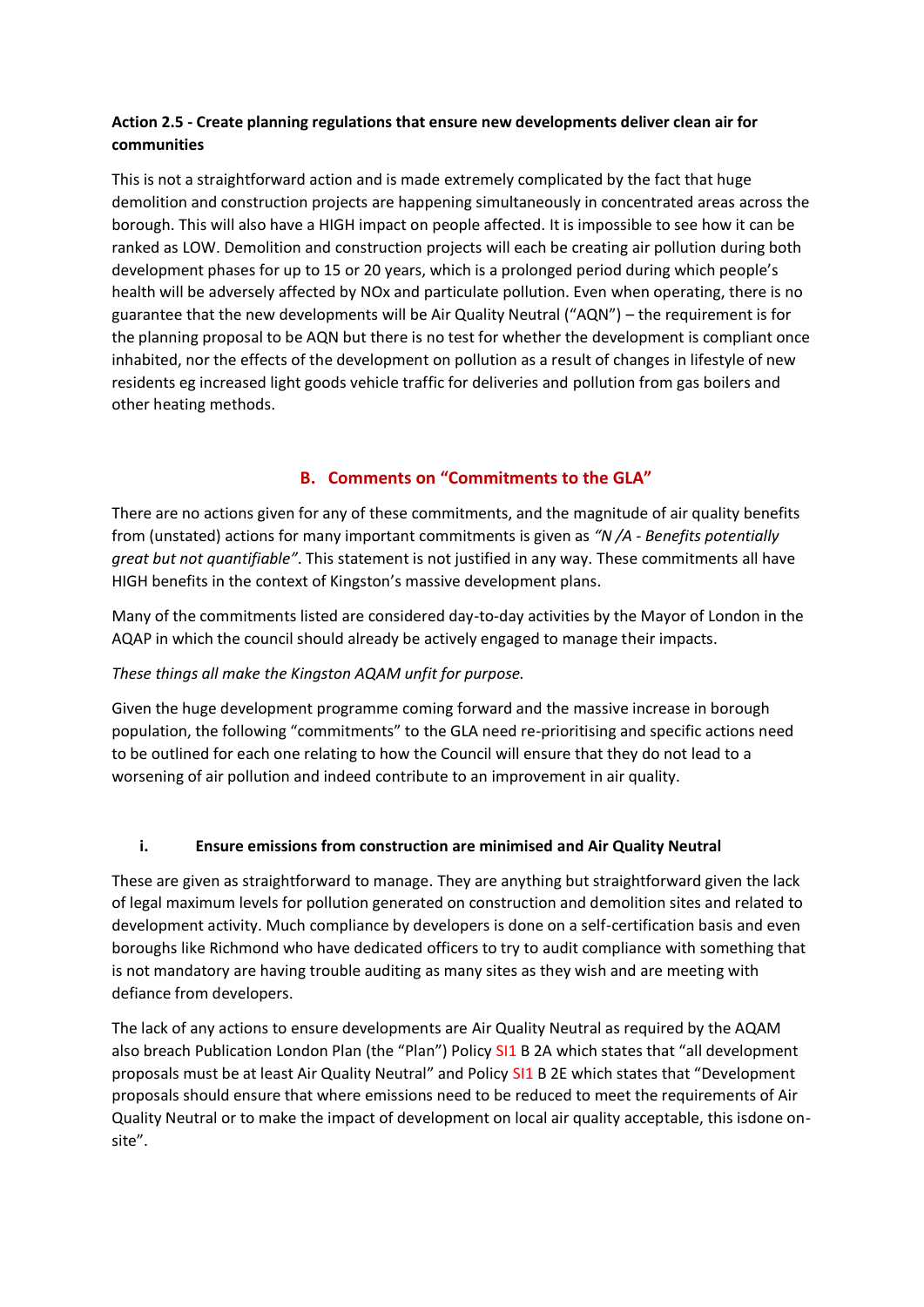# **Action 2.5 - Create planning regulations that ensure new developments deliver clean air for communities**

This is not a straightforward action and is made extremely complicated by the fact that huge demolition and construction projects are happening simultaneously in concentrated areas across the borough. This will also have a HIGH impact on people affected. It is impossible to see how it can be ranked as LOW. Demolition and construction projects will each be creating air pollution during both development phases for up to 15 or 20 years, which is a prolonged period during which people's health will be adversely affected by NOx and particulate pollution. Even when operating, there is no guarantee that the new developments will be Air Quality Neutral ("AQN") – the requirement is for the planning proposal to be AQN but there is no test for whether the development is compliant once inhabited, nor the effects of the development on pollution as a result of changes in lifestyle of new residents eg increased light goods vehicle traffic for deliveries and pollution from gas boilers and other heating methods.

# **B. Comments on "Commitments to the GLA"**

There are no actions given for any of these commitments, and the magnitude of air quality benefits from (unstated) actions for many important commitments is given as *"N /A - Benefits potentially great but not quantifiable"*. This statement is not justified in any way. These commitments all have HIGH benefits in the context of Kingston's massive development plans.

Many of the commitments listed are considered day-to-day activities by the Mayor of London in the AQAP in which the council should already be actively engaged to manage their impacts.

### *These things all make the Kingston AQAM unfit for purpose.*

Given the huge development programme coming forward and the massive increase in borough population, the following "commitments" to the GLA need re-prioritising and specific actions need to be outlined for each one relating to how the Council will ensure that they do not lead to a worsening of air pollution and indeed contribute to an improvement in air quality.

### **i. Ensure emissions from construction are minimised and Air Quality Neutral**

These are given as straightforward to manage. They are anything but straightforward given the lack of legal maximum levels for pollution generated on construction and demolition sites and related to development activity. Much compliance by developers is done on a self-certification basis and even boroughs like Richmond who have dedicated officers to try to audit compliance with something that is not mandatory are having trouble auditing as many sites as they wish and are meeting with defiance from developers.

The lack of any actions to ensure developments are Air Quality Neutral as required by the AQAM also breach Publication London Plan (the "Plan") Policy SI1 B 2A which states that "all development proposals must be at least Air Quality Neutral" and Policy SI1 B 2E which states that "Development proposals should ensure that where emissions need to be reduced to meet the requirements of Air Quality Neutral or to make the impact of development on local air quality acceptable, this isdone onsite".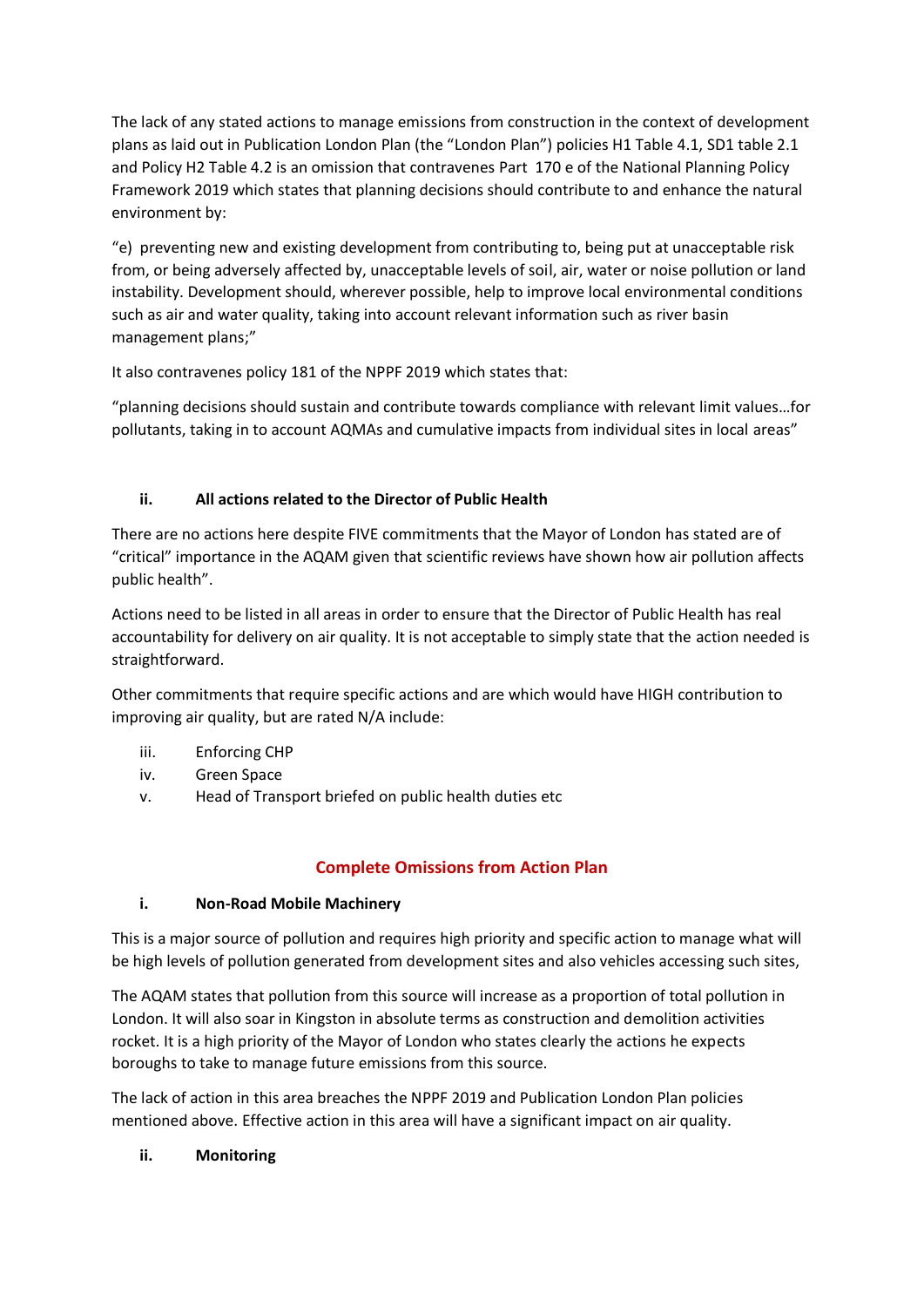The lack of any stated actions to manage emissions from construction in the context of development plans as laid out in Publication London Plan (the "London Plan") policies H1 Table 4.1, SD1 table 2.1 and Policy H2 Table 4.2 is an omission that contravenes Part 170 e of the National Planning Policy Framework 2019 which states that planning decisions should contribute to and enhance the natural environment by:

"e) preventing new and existing development from contributing to, being put at unacceptable risk from, or being adversely affected by, unacceptable levels of soil, air, water or noise pollution or land instability. Development should, wherever possible, help to improve local environmental conditions such as air and water quality, taking into account relevant information such as river basin management plans;"

It also contravenes policy 181 of the NPPF 2019 which states that:

"planning decisions should sustain and contribute towards compliance with relevant limit values…for pollutants, taking in to account AQMAs and cumulative impacts from individual sites in local areas"

# **ii. All actions related to the Director of Public Health**

There are no actions here despite FIVE commitments that the Mayor of London has stated are of "critical" importance in the AQAM given that scientific reviews have shown how air pollution affects public health".

Actions need to be listed in all areas in order to ensure that the Director of Public Health has real accountability for delivery on air quality. It is not acceptable to simply state that the action needed is straightforward.

Other commitments that require specific actions and are which would have HIGH contribution to improving air quality, but are rated N/A include:

- iii. Enforcing CHP
- iv. Green Space
- v. Head of Transport briefed on public health duties etc

### **Complete Omissions from Action Plan**

### **i. Non-Road Mobile Machinery**

This is a major source of pollution and requires high priority and specific action to manage what will be high levels of pollution generated from development sites and also vehicles accessing such sites,

The AQAM states that pollution from this source will increase as a proportion of total pollution in London. It will also soar in Kingston in absolute terms as construction and demolition activities rocket. It is a high priority of the Mayor of London who states clearly the actions he expects boroughs to take to manage future emissions from this source.

The lack of action in this area breaches the NPPF 2019 and Publication London Plan policies mentioned above. Effective action in this area will have a significant impact on air quality.

### **ii. Monitoring**